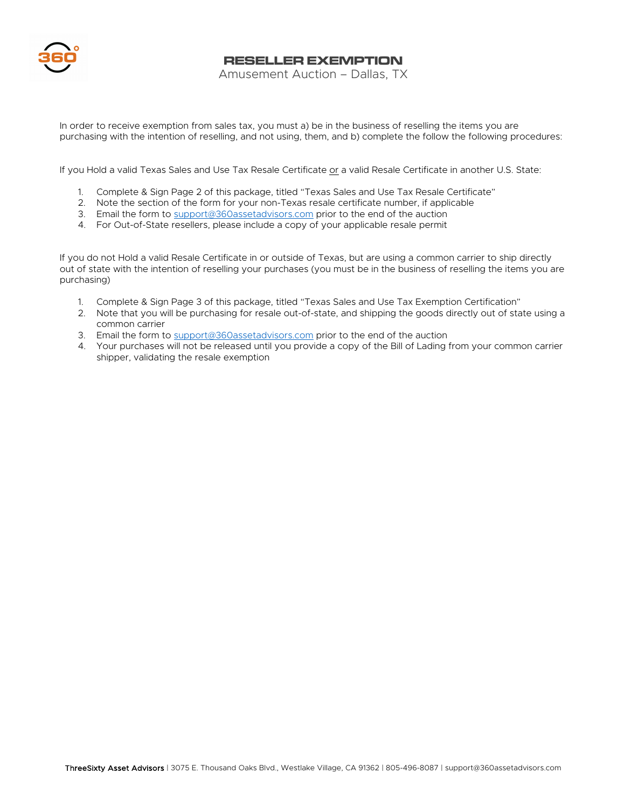

**RESELLER EXEMPTION**

Amusement Auction – Dallas, TX

In order to receive exemption from sales tax, you must a) be in the business of reselling the items you are purchasing with the intention of reselling, and not using, them, and b) complete the follow the following procedures:

If you Hold a valid Texas Sales and Use Tax Resale Certificate or a valid Resale Certificate in another U.S. State:

- 1. Complete & Sign Page 2 of this package, titled "Texas Sales and Use Tax Resale Certificate"
- 2. Note the section of the form for your non-Texas resale certificate number, if applicable
- 3. Email the form to support@360assetadvisors.com prior to the end of the auction
- 4. For Out-of-State resellers, please include a copy of your applicable resale permit

If you do not Hold a valid Resale Certificate in or outside of Texas, but are using a common carrier to ship directly out of state with the intention of reselling your purchases (you must be in the business of reselling the items you are purchasing)

- 1. Complete & Sign Page 3 of this package, titled "Texas Sales and Use Tax Exemption Certification"
- 2. Note that you will be purchasing for resale out-of-state, and shipping the goods directly out of state using a common carrier
- 3. Email the form to support@360assetadvisors.com prior to the end of the auction
- 4. Your purchases will not be released until you provide a copy of the Bill of Lading from your common carrier shipper, validating the resale exemption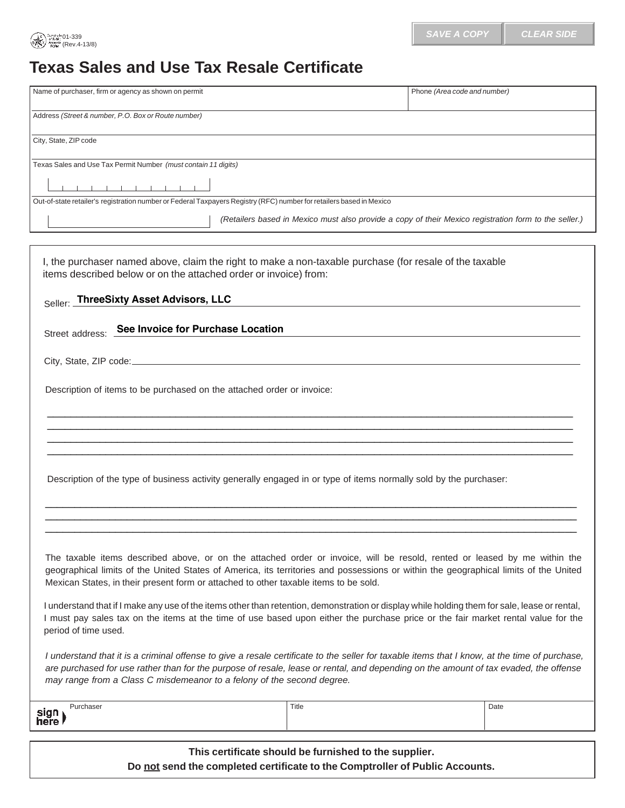## **Texas Sales and Use Tax Resale Certificate**

01-339 (Rev.4-13/8)

| Name of purchaser, firm or agency as shown on permit           |                                                                                                                      | Phone (Area code and number)                                                                            |
|----------------------------------------------------------------|----------------------------------------------------------------------------------------------------------------------|---------------------------------------------------------------------------------------------------------|
| Address (Street & number, P.O. Box or Route number)            |                                                                                                                      |                                                                                                         |
| City, State, ZIP code                                          |                                                                                                                      |                                                                                                         |
| Texas Sales and Use Tax Permit Number (must contain 11 digits) |                                                                                                                      |                                                                                                         |
| the control of the control of the con-                         |                                                                                                                      |                                                                                                         |
|                                                                | Out-of-state retailer's registration number or Federal Taxpayers Registry (RFC) number for retailers based in Mexico |                                                                                                         |
|                                                                |                                                                                                                      | (Retailers based in Mexico must also provide a copy of their Mexico registration form to the seller.)   |
|                                                                |                                                                                                                      |                                                                                                         |
|                                                                |                                                                                                                      |                                                                                                         |
| Seller: ThreeSixty Asset Advisors, LLC                         | items described below or on the attached order or invoice) from:                                                     | I, the purchaser named above, claim the right to make a non-taxable purchase (for resale of the taxable |
| Street address: See Invoice for Purchase Location              |                                                                                                                      |                                                                                                         |
|                                                                |                                                                                                                      |                                                                                                         |
|                                                                | Description of items to be purchased on the attached order or invoice:                                               |                                                                                                         |
|                                                                |                                                                                                                      |                                                                                                         |

Description of the type of business activity generally engaged in or type of items normally sold by the purchaser:

The taxable items described above, or on the attached order or invoice, will be resold, rented or leased by me within the geographical limits of the United States of America, its territories and possessions or within the geographical limits of the United Mexican States, in their present form or attached to other taxable items to be sold.

 $\_$  ,  $\_$  ,  $\_$  ,  $\_$  ,  $\_$  ,  $\_$  ,  $\_$  ,  $\_$  ,  $\_$  ,  $\_$  ,  $\_$  ,  $\_$  ,  $\_$  ,  $\_$  ,  $\_$  ,  $\_$  ,  $\_$  ,  $\_$  ,  $\_$  ,  $\_$  ,  $\_$  ,  $\_$  ,  $\_$  ,  $\_$  ,  $\_$  ,  $\_$  ,  $\_$  ,  $\_$  ,  $\_$  ,  $\_$  ,  $\_$  ,  $\_$  ,  $\_$  ,  $\_$  ,  $\_$  ,  $\_$  ,  $\_$  ,  $\_$  ,  $\_$  ,  $\_$  ,  $\_$  ,  $\_$  ,  $\_$  ,  $\_$  ,  $\_$  ,  $\_$  ,  $\_$  ,  $\_$  ,  $\_$  ,  $\_$  ,  $\_$  ,  $\_$  ,  $\_$  ,  $\_$  ,  $\_$  ,  $\_$  ,  $\_$  ,  $\_$  ,  $\_$  ,  $\_$  ,  $\_$  ,  $\_$  ,  $\_$  ,  $\_$  ,  $\_$  ,  $\_$  ,  $\_$  ,  $\_$  ,  $\_$  ,  $\_$  ,  $\_$  ,  $\_$  ,  $\_$  ,  $\_$  ,  $\_$  ,  $\_$  ,  $\_$  ,  $\_$  ,  $\_$  ,  $\_$  ,  $\_$  ,  $\_$  ,  $\_$  ,  $\_$  ,  $\_$  ,  $\_$  ,  $\_$  ,  $\_$  ,  $\_$  ,  $\_$  ,  $\_$  ,  $\_$  ,  $\_$  ,  $\_$  ,  $\_$  ,  $\_$  ,  $\_$  ,  $\_$  ,  $\_$  ,  $\_$  ,  $\_$  ,  $\_$  ,  $\_$  ,  $\_$  ,  $\_$  ,  $\_$  ,  $\_$  ,  $\_$  ,  $\_$  ,  $\_$  ,  $\_$  ,

I understand that if I make any use of the items other than retention, demonstration or display while holding them for sale, lease or rental, I must pay sales tax on the items at the time of use based upon either the purchase price or the fair market rental value for the period of time used.

I understand that it is a criminal offense to give a resale certificate to the seller for taxable items that I know, at the time of purchase, are purchased for use rather than for the purpose of resale, lease or rental, and depending on the amount of tax evaded, the offense may range from a Class C misdemeanor to a felony of the second degree.

| $J1$ roboon<br>sign<br>here | Title | Date |
|-----------------------------|-------|------|
|                             |       |      |

**This certificate should be furnished to the supplier. Do not send the completed certificate to the Comptroller of Public Accounts.**